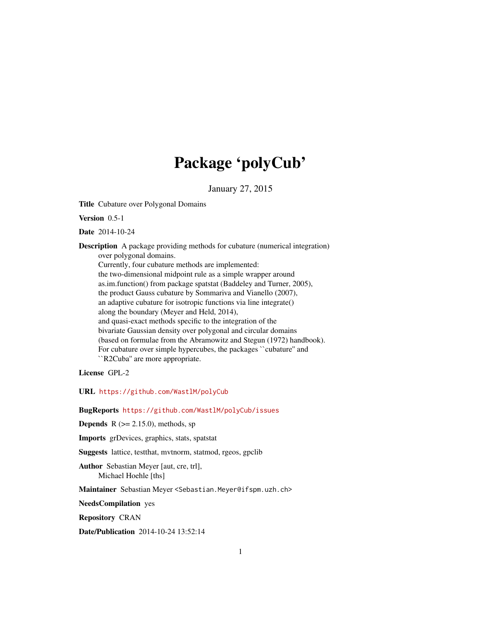# Package 'polyCub'

January 27, 2015

<span id="page-0-0"></span>Title Cubature over Polygonal Domains

Version 0.5-1

Date 2014-10-24

Description A package providing methods for cubature (numerical integration) over polygonal domains. Currently, four cubature methods are implemented: the two-dimensional midpoint rule as a simple wrapper around as.im.function() from package spatstat (Baddeley and Turner, 2005), the product Gauss cubature by Sommariva and Vianello (2007), an adaptive cubature for isotropic functions via line integrate() along the boundary (Meyer and Held, 2014), and quasi-exact methods specific to the integration of the bivariate Gaussian density over polygonal and circular domains (based on formulae from the Abramowitz and Stegun (1972) handbook). For cubature over simple hypercubes, the packages ``cubature'' and ``R2Cuba'' are more appropriate.

License GPL-2

URL <https://github.com/WastlM/polyCub>

BugReports <https://github.com/WastlM/polyCub/issues>

**Depends**  $R$  ( $>= 2.15.0$ ), methods, sp

Imports grDevices, graphics, stats, spatstat

Suggests lattice, testthat, mvtnorm, statmod, rgeos, gpclib

Author Sebastian Meyer [aut, cre, trl], Michael Hoehle [ths]

Maintainer Sebastian Meyer <Sebastian.Meyer@ifspm.uzh.ch>

NeedsCompilation yes

Repository CRAN

Date/Publication 2014-10-24 13:52:14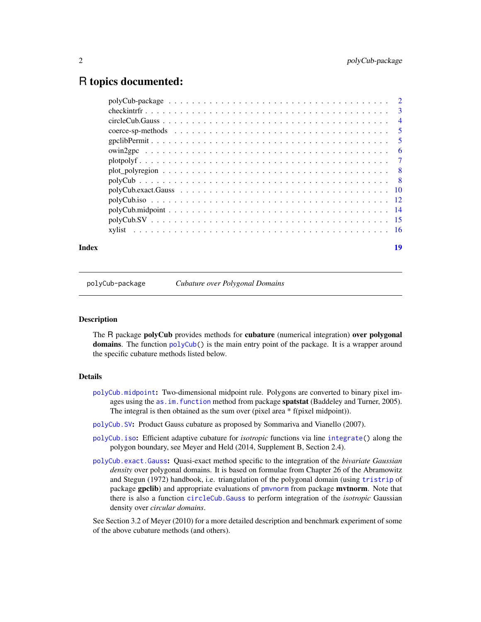# <span id="page-1-0"></span>R topics documented:

| Index | 19 |
|-------|----|
|       |    |
|       |    |
|       |    |
|       |    |
|       |    |
|       |    |
|       |    |
|       |    |
|       |    |
|       |    |
|       |    |
|       |    |
|       |    |
|       |    |

<span id="page-1-1"></span>polyCub-package *Cubature over Polygonal Domains*

# Description

The R package **polyCub** provides methods for **cubature** (numerical integration) **over polygonal** domains. The function  $polyCub()$  $polyCub()$  is the main entry point of the package. It is a wrapper around the specific cubature methods listed below.

#### Details

- [polyCub.midpoint](#page-13-1): Two-dimensional midpoint rule. Polygons are converted to binary pixel images using the [as.im.function](#page-0-0) method from package **spatstat** (Baddeley and Turner, 2005). The integral is then obtained as the sum over (pixel area \* f(pixel midpoint)).
- [polyCub.SV](#page-14-1): Product Gauss cubature as proposed by Sommariva and Vianello (2007).
- [polyCub.iso](#page-11-1): Efficient adaptive cubature for *isotropic* functions via line [integrate\(](#page-0-0)) along the polygon boundary, see Meyer and Held (2014, Supplement B, Section 2.4).
- [polyCub.exact.Gauss](#page-9-1): Quasi-exact method specific to the integration of the *bivariate Gaussian density* over polygonal domains. It is based on formulae from Chapter 26 of the Abramowitz and Stegun (1972) handbook, i.e. triangulation of the polygonal domain (using [tristrip](#page-0-0) of package gpclib) and appropriate evaluations of [pmvnorm](#page-0-0) from package mvtnorm. Note that there is also a function [circleCub.Gauss](#page-3-1) to perform integration of the *isotropic* Gaussian density over *circular domains*.

See Section 3.2 of Meyer (2010) for a more detailed description and benchmark experiment of some of the above cubature methods (and others).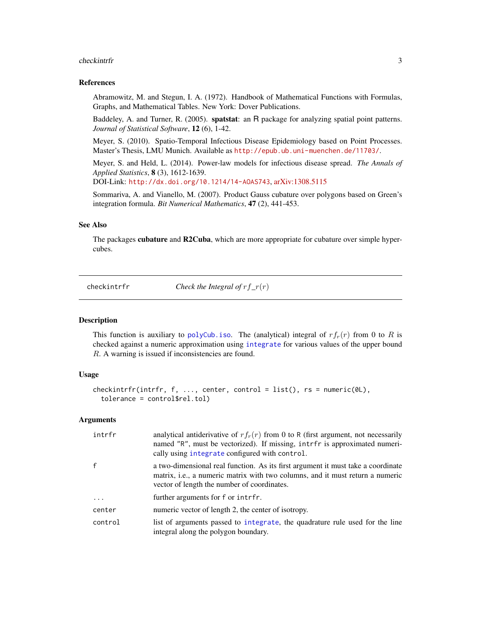#### <span id="page-2-0"></span>checkintrfr 3

#### References

Abramowitz, M. and Stegun, I. A. (1972). Handbook of Mathematical Functions with Formulas, Graphs, and Mathematical Tables. New York: Dover Publications.

Baddeley, A. and Turner, R. (2005). spatstat: an R package for analyzing spatial point patterns. *Journal of Statistical Software*, 12 (6), 1-42.

Meyer, S. (2010). Spatio-Temporal Infectious Disease Epidemiology based on Point Processes. Master's Thesis, LMU Munich. Available as <http://epub.ub.uni-muenchen.de/11703/>.

Meyer, S. and Held, L. (2014). Power-law models for infectious disease spread. *The Annals of Applied Statistics*, 8 (3), 1612-1639.

DOI-Link: <http://dx.doi.org/10.1214/14-AOAS743>, [arXiv:1308.5115](http://arxiv.org/abs/1308.5115)

Sommariva, A. and Vianello, M. (2007). Product Gauss cubature over polygons based on Green's integration formula. *Bit Numerical Mathematics*, 47 (2), 441-453.

# See Also

The packages cubature and R2Cuba, which are more appropriate for cubature over simple hypercubes.

checkintrfr *Check the Integral of* rf*\_*r(r)

#### Description

This function is auxiliary to [polyCub.iso](#page-11-1). The (analytical) integral of  $rf_r(r)$  from 0 to R is checked against a numeric approximation using [integrate](#page-0-0) for various values of the upper bound R. A warning is issued if inconsistencies are found.

#### Usage

```
checkintrfr(intrfr, f, ..., center, control = list(), rs = numeric(0L),
  tolerance = control$rel.tol)
```
#### Arguments

| intrfr       | analytical antiderivative of $rf_r(r)$ from 0 to R (first argument, not necessarily<br>named "R", must be vectorized). If missing, intrfr is approximated numeri-<br>cally using integrate configured with control. |
|--------------|---------------------------------------------------------------------------------------------------------------------------------------------------------------------------------------------------------------------|
| $\mathbf{f}$ | a two-dimensional real function. As its first argument it must take a coordinate<br>matrix, i.e., a numeric matrix with two columns, and it must return a numeric<br>vector of length the number of coordinates.    |
| $\cdot$      | further arguments for f or intrfr.                                                                                                                                                                                  |
| center       | numeric vector of length 2, the center of isotropy.                                                                                                                                                                 |
| control      | list of arguments passed to integrate, the quadrature rule used for the line<br>integral along the polygon boundary.                                                                                                |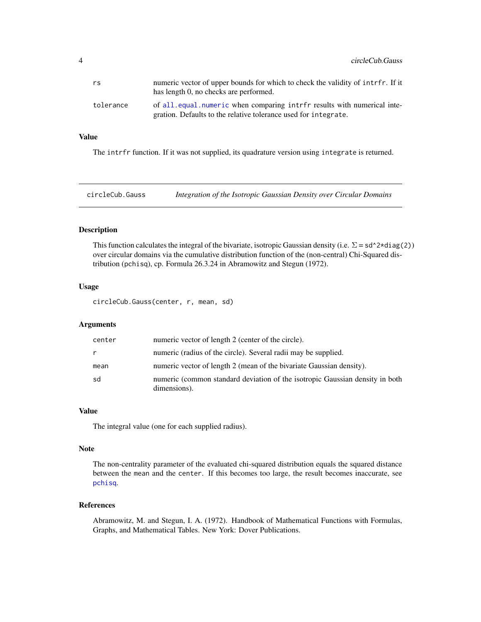<span id="page-3-0"></span>

| rs        | numeric vector of upper bounds for which to check the validity of intrfr. If it<br>has length 0, no checks are performed.                  |
|-----------|--------------------------------------------------------------------------------------------------------------------------------------------|
| tolerance | of all.equal.numeric when comparing intrfr results with numerical inte-<br>gration. Defaults to the relative tolerance used for integrate. |

#### Value

The intrfr function. If it was not supplied, its quadrature version using integrate is returned.

<span id="page-3-1"></span>circleCub.Gauss *Integration of the Isotropic Gaussian Density over Circular Domains*

#### Description

This function calculates the integral of the bivariate, isotropic Gaussian density (i.e.  $\Sigma = sd^{\wedge}2*diag(2)$ ) over circular domains via the cumulative distribution function of the (non-central) Chi-Squared distribution (pchisq), cp. Formula 26.3.24 in Abramowitz and Stegun (1972).

#### Usage

circleCub.Gauss(center, r, mean, sd)

# Arguments

| center | numeric vector of length 2 (center of the circle).                                           |
|--------|----------------------------------------------------------------------------------------------|
| r      | numeric (radius of the circle). Several radii may be supplied.                               |
| mean   | numeric vector of length 2 (mean of the bivariate Gaussian density).                         |
| sd     | numeric (common standard deviation of the isotropic Gaussian density in both<br>dimensions). |

#### Value

The integral value (one for each supplied radius).

#### Note

The non-centrality parameter of the evaluated chi-squared distribution equals the squared distance between the mean and the center. If this becomes too large, the result becomes inaccurate, see [pchisq](#page-0-0).

# References

Abramowitz, M. and Stegun, I. A. (1972). Handbook of Mathematical Functions with Formulas, Graphs, and Mathematical Tables. New York: Dover Publications.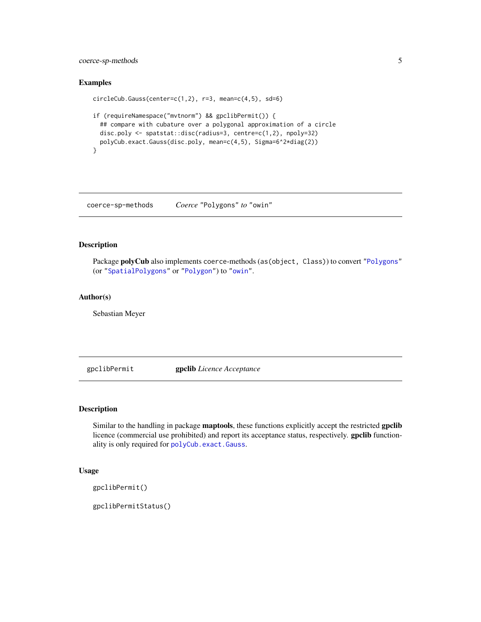# <span id="page-4-0"></span>coerce-sp-methods 5

#### Examples

```
circleCub.Gauss(center=c(1,2), r=3, mean=c(4,5), sd=6)
if (requireNamespace("mvtnorm") && gpclibPermit()) {
  ## compare with cubature over a polygonal approximation of a circle
  disc.poly <- spatstat::disc(radius=3, centre=c(1,2), npoly=32)
  polyCub.exact.Gauss(disc.poly, mean=c(4,5), Sigma=6^2*diag(2))
}
```
coerce-sp-methods *Coerce* "Polygons" *to* "owin"

#### Description

Package polyCub also implements coerce-methods (as(object, Class)) to convert ["Polygons"](#page-0-0) (or ["SpatialPolygons"](#page-0-0) or ["Polygon"](#page-0-0)) to ["owin"](#page-0-0).

# Author(s)

Sebastian Meyer

<span id="page-4-1"></span>gpclibPermit gpclib *Licence Acceptance*

#### Description

Similar to the handling in package **maptools**, these functions explicitly accept the restricted gpclib licence (commercial use prohibited) and report its acceptance status, respectively. gpclib functionality is only required for [polyCub.exact.Gauss](#page-9-1).

# Usage

```
gpclibPermit()
```
gpclibPermitStatus()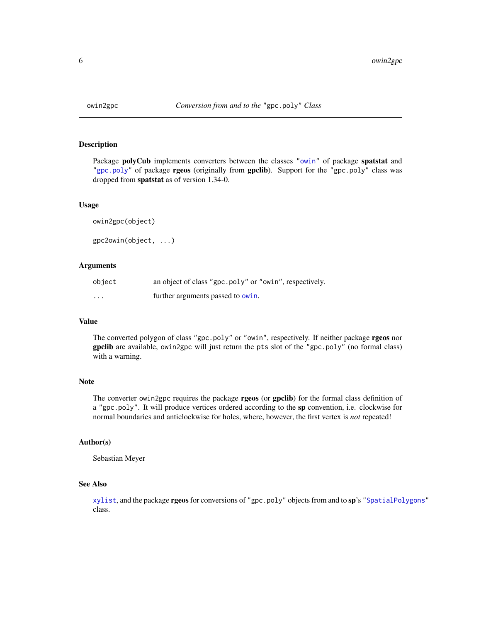<span id="page-5-1"></span><span id="page-5-0"></span>

Package polyCub implements converters between the classes ["owin"](#page-0-0) of package spatstat and ["gpc.poly"](#page-0-0) of package **rgeos** (originally from gpclib). Support for the "gpc.poly" class was dropped from spatstat as of version 1.34-0.

#### Usage

```
owin2gpc(object)
gpc2owin(object, ...)
```
#### Arguments

| object                  | an object of class "gpc.poly" or "owin", respectively. |
|-------------------------|--------------------------------------------------------|
| $\cdot$ $\cdot$ $\cdot$ | further arguments passed to owin.                      |

#### Value

The converted polygon of class "gpc.poly" or "owin", respectively. If neither package rgeos nor gpclib are available, owin2gpc will just return the pts slot of the "gpc.poly" (no formal class) with a warning.

#### Note

The converter owin2gpc requires the package rgeos (or gpclib) for the formal class definition of a "gpc.poly". It will produce vertices ordered according to the sp convention, i.e. clockwise for normal boundaries and anticlockwise for holes, where, however, the first vertex is *not* repeated!

#### Author(s)

Sebastian Meyer

# See Also

[xylist](#page-15-1), and the package rgeos for conversions of "gpc.poly" objects from and to sp's ["SpatialPolygons"](#page-0-0) class.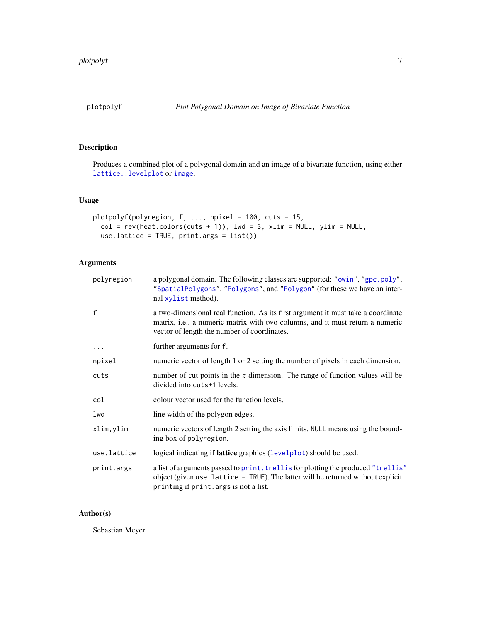<span id="page-6-1"></span><span id="page-6-0"></span>

Produces a combined plot of a polygonal domain and an image of a bivariate function, using either [lattice::levelplot](#page-0-0) or [image](#page-0-0).

# Usage

```
plotpolyf(polyregion, f, ..., npixel = 100, cuts = 15,
 col = rev(head.colors(cuts + 1)), lwd = 3, xlim = NULL, ylim = NULL,
 use.lattice = TRUE, print.args = list())
```
# Arguments

| polyregion   | a polygonal domain. The following classes are supported: "owin", "gpc.poly",<br>"SpatialPolygons", "Polygons", and "Polygon" (for these we have an inter-<br>nal xylist method).                                         |
|--------------|--------------------------------------------------------------------------------------------------------------------------------------------------------------------------------------------------------------------------|
| $\mathsf{f}$ | a two-dimensional real function. As its first argument it must take a coordinate<br>matrix, <i>i.e.</i> , a numeric matrix with two columns, and it must return a numeric<br>vector of length the number of coordinates. |
| $\cdots$     | further arguments for f.                                                                                                                                                                                                 |
| npixel       | numeric vector of length 1 or 2 setting the number of pixels in each dimension.                                                                                                                                          |
| cuts         | number of cut points in the $z$ dimension. The range of function values will be<br>divided into cuts+1 levels.                                                                                                           |
| col          | colour vector used for the function levels.                                                                                                                                                                              |
| lwd          | line width of the polygon edges.                                                                                                                                                                                         |
| xlim, ylim   | numeric vectors of length 2 setting the axis limits. NULL means using the bound-<br>ing box of polyregion.                                                                                                               |
| use.lattice  | logical indicating if <b>lattice</b> graphics (levelplot) should be used.                                                                                                                                                |
| print.args   | a list of arguments passed to print. trellis for plotting the produced "trellis"<br>object (given use. $lattice = TRUE$ ). The latter will be returned without explicit<br>printing if print. args is not a list.        |

# Author(s)

Sebastian Meyer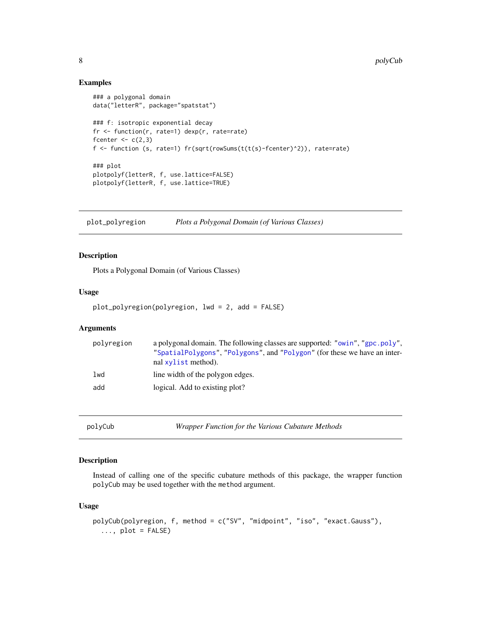#### Examples

```
### a polygonal domain
data("letterR", package="spatstat")
### f: isotropic exponential decay
fr <- function(r, rate=1) dexp(r, rate=rate)
fcenter <-c(2,3)f <- function (s, rate=1) fr(sqrt(rowSums(t(t(s)-fcenter)^2)), rate=rate)
### plot
plotpolyf(letterR, f, use.lattice=FALSE)
plotpolyf(letterR, f, use.lattice=TRUE)
```
plot\_polyregion *Plots a Polygonal Domain (of Various Classes)*

# Description

Plots a Polygonal Domain (of Various Classes)

#### Usage

```
plot_polyregion(polyregion, lwd = 2, add = FALSE)
```
# Arguments

| polyregion | a polygonal domain. The following classes are supported: "owin", "gpc.poly",<br>"SpatialPolygons", "Polygons", and "Polygon" (for these we have an inter-<br>nal xylist method). |
|------------|----------------------------------------------------------------------------------------------------------------------------------------------------------------------------------|
| 1wd        | line width of the polygon edges.                                                                                                                                                 |
| add        | logical. Add to existing plot?                                                                                                                                                   |

<span id="page-7-1"></span>polyCub *Wrapper Function for the Various Cubature Methods*

### Description

Instead of calling one of the specific cubature methods of this package, the wrapper function polyCub may be used together with the method argument.

# Usage

```
polyCub(polyregion, f, method = c("SV", "midpoint", "iso", "exact.Gauss"),
  \ldots, plot = FALSE)
```
<span id="page-7-0"></span>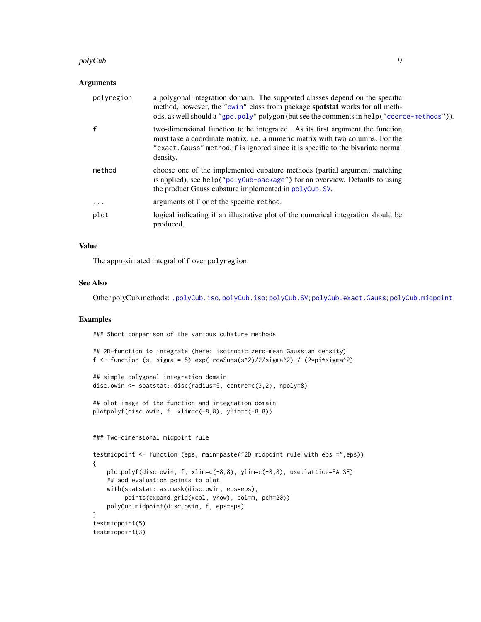#### <span id="page-8-0"></span>polyCub 9

#### Arguments

| polyregion | a polygonal integration domain. The supported classes depend on the specific<br>method, however, the "owin" class from package spatstat works for all meth-<br>ods, as well should a "gpc.poly" polygon (but see the comments in help ("coerce-methods")).             |
|------------|------------------------------------------------------------------------------------------------------------------------------------------------------------------------------------------------------------------------------------------------------------------------|
| f          | two-dimensional function to be integrated. As its first argument the function<br>must take a coordinate matrix, <i>i.e.</i> a numeric matrix with two columns. For the<br>"exact. Gauss" method, f is ignored since it is specific to the bivariate normal<br>density. |
| method     | choose one of the implemented cubature methods (partial argument matching<br>is applied), see help("polyCub-package") for an overview. Defaults to using<br>the product Gauss cubature implemented in polyCub. SV.                                                     |
| .          | arguments of f or of the specific method.                                                                                                                                                                                                                              |
| plot       | logical indicating if an illustrative plot of the numerical integration should be<br>produced.                                                                                                                                                                         |

# Value

The approximated integral of f over polyregion.

### See Also

Other polyCub.methods: [.polyCub.iso](#page-11-2), [polyCub.iso](#page-11-1); [polyCub.SV](#page-14-1); [polyCub.exact.Gauss](#page-9-1); [polyCub.midpoint](#page-13-1)

# Examples

### Short comparison of the various cubature methods

```
## 2D-function to integrate (here: isotropic zero-mean Gaussian density)
f <- function (s, sigma = 5) exp(-rowSums(s^2)/2/sigma^2) / (2*pi*sigma^2)
```

```
## simple polygonal integration domain
disc.owin <- spatstat::disc(radius=5, centre=c(3,2), npoly=8)
```

```
## plot image of the function and integration domain
plotpolyf(disc.owin, f, xlim=c(-8,8), ylim=c(-8,8))
```

```
### Two-dimensional midpoint rule
testmidpoint <- function (eps, main=paste("2D midpoint rule with eps =",eps))
{
   plotpolyf(disc.owin, f, xlim=c(-8,8), ylim=c(-8,8), use.lattice=FALSE)
   ## add evaluation points to plot
   with(spatstat::as.mask(disc.owin, eps=eps),
         points(expand.grid(xcol, yrow), col=m, pch=20))
   polyCub.midpoint(disc.owin, f, eps=eps)
}
testmidpoint(5)
testmidpoint(3)
```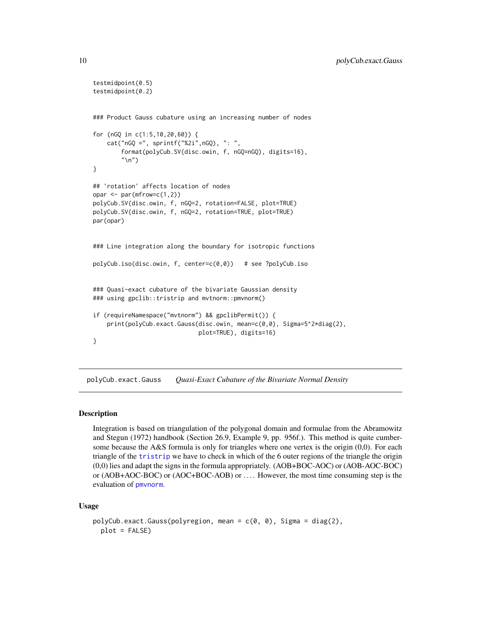```
testmidpoint(0.5)
testmidpoint(0.2)
### Product Gauss cubature using an increasing number of nodes
for (nGQ in c(1:5,10,20,60)) {
   cat("nGQ =", sprintf("%2i",nGQ), ": ",
        format(polyCub.SV(disc.owin, f, nGQ=nGQ), digits=16),
        "\n")
}
## 'rotation' affects location of nodes
opar \leq par(mfrow=c(1,2))
polyCub.SV(disc.owin, f, nGQ=2, rotation=FALSE, plot=TRUE)
polyCub.SV(disc.owin, f, nGQ=2, rotation=TRUE, plot=TRUE)
par(opar)
### Line integration along the boundary for isotropic functions
polyCub.iso(disc.owin, f, center=c(0,0)) # see ?polyCub.iso
### Quasi-exact cubature of the bivariate Gaussian density
### using gpclib::tristrip and mvtnorm::pmvnorm()
if (requireNamespace("mvtnorm") && gpclibPermit()) {
    print(polyCub.exact.Gauss(disc.owin, mean=c(0,0), Sigma=5^2*diag(2),
                              plot=TRUE), digits=16)
}
```
<span id="page-9-1"></span>polyCub.exact.Gauss *Quasi-Exact Cubature of the Bivariate Normal Density*

### Description

Integration is based on triangulation of the polygonal domain and formulae from the Abramowitz and Stegun (1972) handbook (Section 26.9, Example 9, pp. 956f.). This method is quite cumbersome because the A&S formula is only for triangles where one vertex is the origin (0,0). For each triangle of the [tristrip](#page-0-0) we have to check in which of the 6 outer regions of the triangle the origin (0,0) lies and adapt the signs in the formula appropriately. (AOB+BOC-AOC) or (AOB-AOC-BOC) or (AOB+AOC-BOC) or (AOC+BOC-AOB) or . . . . However, the most time consuming step is the evaluation of [pmvnorm](#page-0-0).

#### Usage

```
polyCub.execute.Gauss(polyregion, mean = c(0, 0), Sigma = diag(2),
  plot = FALSE)
```
<span id="page-9-0"></span>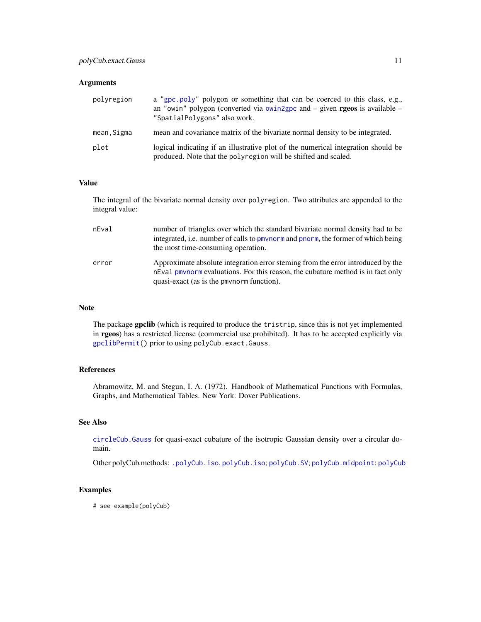### <span id="page-10-0"></span>Arguments

| polvregion | a "gpc.poly" polygon or something that can be coerced to this class, e.g.,<br>an "owin" polygon (converted via owin2gpc and $-$ given <b>rgeos</b> is available $-$<br>"SpatialPolygons" also work. |
|------------|-----------------------------------------------------------------------------------------------------------------------------------------------------------------------------------------------------|
| mean,Sigma | mean and covariance matrix of the bivariate normal density to be integrated.                                                                                                                        |
| plot       | logical indicating if an illustrative plot of the numerical integration should be<br>produced. Note that the polyregion will be shifted and scaled.                                                 |

#### Value

The integral of the bivariate normal density over polyregion. Two attributes are appended to the integral value:

| nEval | number of triangles over which the standard bivariate normal density had to be<br>integrated, i.e. number of calls to pmynorm and pnorm, the former of which being<br>the most time-consuming operation.         |
|-------|------------------------------------------------------------------------------------------------------------------------------------------------------------------------------------------------------------------|
| error | Approximate absolute integration error steming from the error introduced by the<br>n Eval pm norm evaluations. For this reason, the cubature method is in fact only<br>quasi-exact (as is the pmynorm function). |

#### Note

The package gpclib (which is required to produce the tristrip, since this is not yet implemented in rgeos) has a restricted license (commercial use prohibited). It has to be accepted explicitly via [gpclibPermit\(](#page-4-1)) prior to using polyCub.exact.Gauss.

# References

Abramowitz, M. and Stegun, I. A. (1972). Handbook of Mathematical Functions with Formulas, Graphs, and Mathematical Tables. New York: Dover Publications.

# See Also

[circleCub.Gauss](#page-3-1) for quasi-exact cubature of the isotropic Gaussian density over a circular domain.

Other polyCub.methods: [.polyCub.iso](#page-11-2), [polyCub.iso](#page-11-1); [polyCub.SV](#page-14-1); [polyCub.midpoint](#page-13-1); [polyCub](#page-7-1)

#### Examples

# see example(polyCub)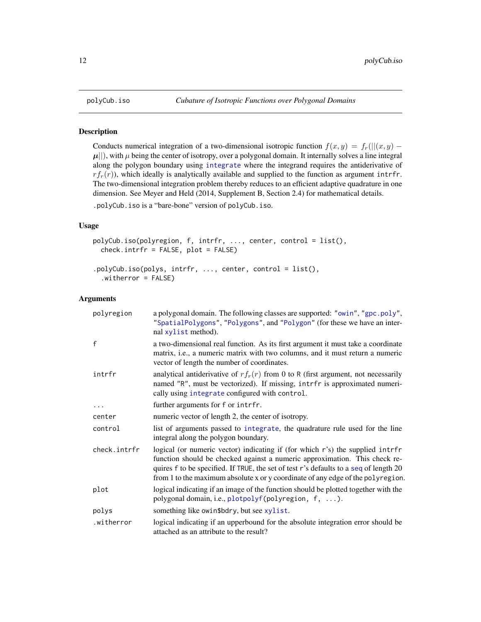Conducts numerical integration of a two-dimensional isotropic function  $f(x, y) = f_r(||(x, y) - y|)$  $\mu$ ||), with  $\mu$  being the center of isotropy, over a polygonal domain. It internally solves a line integral along the polygon boundary using [integrate](#page-0-0) where the integrand requires the antiderivative of  $rf_r(r)$ , which ideally is analytically available and supplied to the function as argument intrfr. The two-dimensional integration problem thereby reduces to an efficient adaptive quadrature in one dimension. See Meyer and Held (2014, Supplement B, Section 2.4) for mathematical details.

.polyCub.iso is a "bare-bone" version of polyCub.iso.

#### Usage

```
polyCub.iso(polyregion, f, intrfr, ..., center, control = list(),
 check.intrfr = FALSE, plot = FALSE)
```

```
.polyCub.iso(polys, intrfr, ..., center, control = list(),
 .witherror = FALSE)
```
## Arguments

| polyregion   | a polygonal domain. The following classes are supported: "owin", "gpc.poly",<br>"SpatialPolygons", "Polygons", and "Polygon" (for these we have an inter-<br>nal xylist method).                                                                                                                                                        |
|--------------|-----------------------------------------------------------------------------------------------------------------------------------------------------------------------------------------------------------------------------------------------------------------------------------------------------------------------------------------|
| $\mathsf{f}$ | a two-dimensional real function. As its first argument it must take a coordinate<br>matrix, <i>i.e.</i> , a numeric matrix with two columns, and it must return a numeric<br>vector of length the number of coordinates.                                                                                                                |
| intrfr       | analytical antiderivative of $rf_r(r)$ from 0 to R (first argument, not necessarily<br>named "R", must be vectorized). If missing, intrfr is approximated numeri-<br>cally using integrate configured with control.                                                                                                                     |
|              | further arguments for f or intrfr.                                                                                                                                                                                                                                                                                                      |
| center       | numeric vector of length 2, the center of isotropy.                                                                                                                                                                                                                                                                                     |
| control      | list of arguments passed to integrate, the quadrature rule used for the line<br>integral along the polygon boundary.                                                                                                                                                                                                                    |
| check.intrfr | logical (or numeric vector) indicating if (for which r's) the supplied intrfr<br>function should be checked against a numeric approximation. This check re-<br>quires f to be specified. If TRUE, the set of test r's defaults to a seq of length 20<br>from 1 to the maximum absolute x or y coordinate of any edge of the polyregion. |
| plot         | logical indicating if an image of the function should be plotted together with the<br>polygonal domain, i.e., plotpolyf(polyregion, f, ).                                                                                                                                                                                               |
| polys        | something like owin\$bdry, but see xylist.                                                                                                                                                                                                                                                                                              |
| .witherror   | logical indicating if an upperbound for the absolute integration error should be<br>attached as an attribute to the result?                                                                                                                                                                                                             |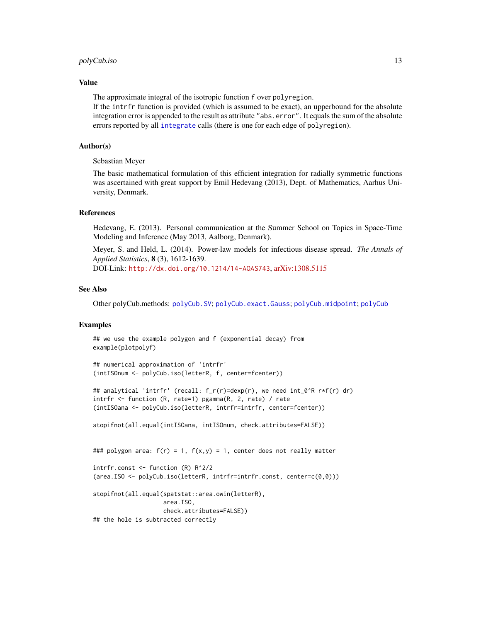#### <span id="page-12-0"></span>polyCub.iso 13

#### Value

The approximate integral of the isotropic function f over polyregion.

If the intrfr function is provided (which is assumed to be exact), an upperbound for the absolute integration error is appended to the result as attribute "abs.error". It equals the sum of the absolute errors reported by all [integrate](#page-0-0) calls (there is one for each edge of polyregion).

#### Author(s)

Sebastian Meyer

The basic mathematical formulation of this efficient integration for radially symmetric functions was ascertained with great support by Emil Hedevang (2013), Dept. of Mathematics, Aarhus University, Denmark.

#### References

Hedevang, E. (2013). Personal communication at the Summer School on Topics in Space-Time Modeling and Inference (May 2013, Aalborg, Denmark).

Meyer, S. and Held, L. (2014). Power-law models for infectious disease spread. *The Annals of Applied Statistics*, 8 (3), 1612-1639.

DOI-Link: <http://dx.doi.org/10.1214/14-AOAS743>, [arXiv:1308.5115](http://arxiv.org/abs/1308.5115)

# See Also

Other polyCub.methods: [polyCub.SV](#page-14-1); [polyCub.exact.Gauss](#page-9-1); [polyCub.midpoint](#page-13-1); [polyCub](#page-7-1)

#### Examples

```
## we use the example polygon and f (exponential decay) from
example(plotpolyf)
```

```
## numerical approximation of 'intrfr'
(intISOnum <- polyCub.iso(letterR, f, center=fcenter))
```

```
## analytical 'intrfr' (recall: f_r(r)=dexp(r), we need int_0^R r*f(r) dr)
intrfr <- function (R, rate=1) pgamma(R, 2, rate) / rate
(intISOana <- polyCub.iso(letterR, intrfr=intrfr, center=fcenter))
```

```
stopifnot(all.equal(intISOana, intISOnum, check.attributes=FALSE))
```

```
### polygon area: f(r) = 1, f(x,y) = 1, center does not really matter
```

```
intrfr.const <- function (R) R^2/2
(area.ISO <- polyCub.iso(letterR, intrfr=intrfr.const, center=c(0,0)))
```

```
stopifnot(all.equal(spatstat::area.owin(letterR),
                    area.ISO,
                    check.attributes=FALSE))
## the hole is subtracted correctly
```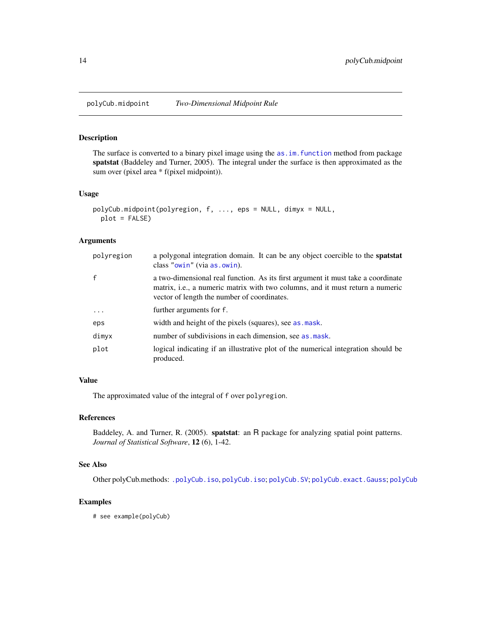<span id="page-13-1"></span><span id="page-13-0"></span>

The surface is converted to a binary pixel image using the [as.im.function](#page-0-0) method from package spatstat (Baddeley and Turner, 2005). The integral under the surface is then approximated as the sum over (pixel area \* f(pixel midpoint)).

#### Usage

```
polyCub.midpoint(polyregion, f, ..., eps = NULL, dimyx = NULL,
 plot = FALSE)
```
#### Arguments

| polyregion   | a polygonal integration domain. It can be any object coercible to the spatstat<br>class "owin" (via as . owin).                                                                                                          |
|--------------|--------------------------------------------------------------------------------------------------------------------------------------------------------------------------------------------------------------------------|
| $\mathsf{f}$ | a two-dimensional real function. As its first argument it must take a coordinate<br>matrix, <i>i.e.</i> , a numeric matrix with two columns, and it must return a numeric<br>vector of length the number of coordinates. |
| $\ddots$     | further arguments for f.                                                                                                                                                                                                 |
| eps          | width and height of the pixels (squares), see as mask.                                                                                                                                                                   |
| dimyx        | number of subdivisions in each dimension, see as mask.                                                                                                                                                                   |
| plot         | logical indicating if an illustrative plot of the numerical integration should be<br>produced.                                                                                                                           |

# Value

The approximated value of the integral of f over polyregion.

#### References

Baddeley, A. and Turner, R. (2005). spatstat: an R package for analyzing spatial point patterns. *Journal of Statistical Software*, 12 (6), 1-42.

# See Also

Other polyCub.methods: [.polyCub.iso](#page-11-2), [polyCub.iso](#page-11-1); [polyCub.SV](#page-14-1); [polyCub.exact.Gauss](#page-9-1); [polyCub](#page-7-1)

# Examples

# see example(polyCub)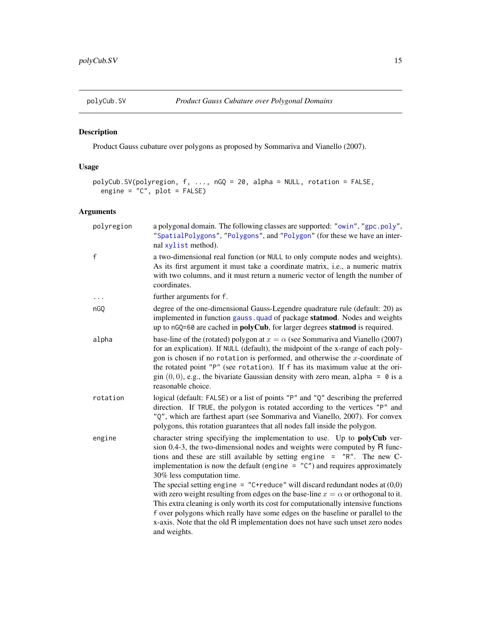<span id="page-14-1"></span><span id="page-14-0"></span>

Product Gauss cubature over polygons as proposed by Sommariva and Vianello (2007).

# Usage

```
polyCub.SV(polyregion, f, ..., nGQ = 20, alpha = NULL, rotation = FALSE,
 engine = "C", plot = FALSE)
```
# Arguments

| polyregion   | a polygonal domain. The following classes are supported: "owin", "gpc.poly",<br>"SpatialPolygons", "Polygons", and "Polygon" (for these we have an inter-<br>nal xylist method).                                                                                                                                                                                                                                                                         |
|--------------|----------------------------------------------------------------------------------------------------------------------------------------------------------------------------------------------------------------------------------------------------------------------------------------------------------------------------------------------------------------------------------------------------------------------------------------------------------|
| $\mathsf{f}$ | a two-dimensional real function (or NULL to only compute nodes and weights).<br>As its first argument it must take a coordinate matrix, i.e., a numeric matrix<br>with two columns, and it must return a numeric vector of length the number of<br>coordinates.                                                                                                                                                                                          |
|              | further arguments for f.                                                                                                                                                                                                                                                                                                                                                                                                                                 |
| nGO          | degree of the one-dimensional Gauss-Legendre quadrature rule (default: 20) as<br>implemented in function gauss quad of package statmod. Nodes and weights<br>up to nGQ=60 are cached in <b>polyCub</b> , for larger degrees <b>statmod</b> is required.                                                                                                                                                                                                  |
| alpha        | base-line of the (rotated) polygon at $x = \alpha$ (see Sommariva and Vianello (2007)<br>for an explication). If NULL (default), the midpoint of the x-range of each poly-<br>gon is chosen if no rotation is performed, and otherwise the $x$ -coordinate of<br>the rotated point "P" (see rotation). If f has its maximum value at the ori-<br>gin $(0,0)$ , e.g., the bivariate Gaussian density with zero mean, alpha = 0 is a<br>reasonable choice. |
| rotation     | logical (default: FALSE) or a list of points "P" and "Q" describing the preferred<br>direction. If TRUE, the polygon is rotated according to the vertices "P" and<br>"Q", which are farthest apart (see Sommariva and Vianello, 2007). For convex<br>polygons, this rotation guarantees that all nodes fall inside the polygon.                                                                                                                          |
| engine       | character string specifying the implementation to use. Up to <b>polyCub</b> ver-<br>sion 0.4-3, the two-dimensional nodes and weights were computed by R func-<br>tions and these are still available by setting engine = "R". The new C-<br>implementation is now the default (engine $=$ "C") and requires approximately<br>30% less computation time.                                                                                                 |
|              | The special setting engine = "C+reduce" will discard redundant nodes at $(0,0)$<br>with zero weight resulting from edges on the base-line $x = \alpha$ or orthogonal to it.<br>This extra cleaning is only worth its cost for computationally intensive functions<br>f over polygons which really have some edges on the baseline or parallel to the<br>x-axis. Note that the old R implementation does not have such unset zero nodes<br>and weights.   |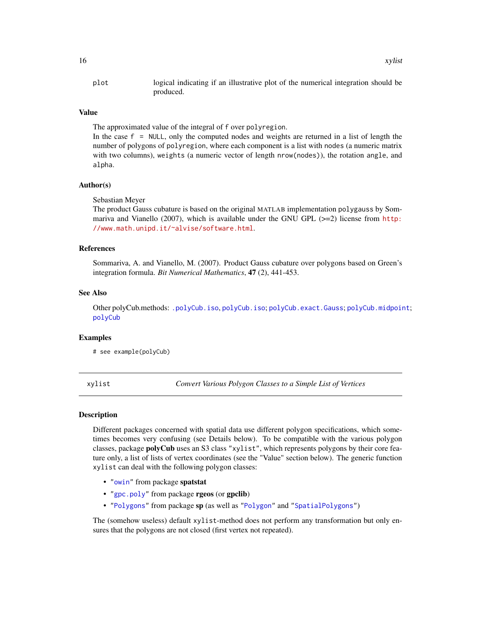<span id="page-15-0"></span>plot logical indicating if an illustrative plot of the numerical integration should be produced.

#### Value

The approximated value of the integral of f over polyregion.

In the case f = NULL, only the computed nodes and weights are returned in a list of length the number of polygons of polyregion, where each component is a list with nodes (a numeric matrix with two columns), weights (a numeric vector of length nrow(nodes)), the rotation angle, and alpha.

#### Author(s)

Sebastian Meyer

The product Gauss cubature is based on the original MATLAB implementation polygauss by Sommariva and Vianello (2007), which is available under the GNU GPL  $(>=2)$  license from [http:](http://www.math.unipd.it/~alvise/software.html) [//www.math.unipd.it/~alvise/software.html](http://www.math.unipd.it/~alvise/software.html).

#### References

Sommariva, A. and Vianello, M. (2007). Product Gauss cubature over polygons based on Green's integration formula. *Bit Numerical Mathematics*, 47 (2), 441-453.

#### See Also

Other polyCub.methods: [.polyCub.iso](#page-11-2), [polyCub.iso](#page-11-1); [polyCub.exact.Gauss](#page-9-1); [polyCub.midpoint](#page-13-1); [polyCub](#page-7-1)

#### Examples

# see example(polyCub)

<span id="page-15-1"></span>xylist *Convert Various Polygon Classes to a Simple List of Vertices*

#### Description

Different packages concerned with spatial data use different polygon specifications, which sometimes becomes very confusing (see Details below). To be compatible with the various polygon classes, package polyCub uses an S3 class "xylist", which represents polygons by their core feature only, a list of lists of vertex coordinates (see the "Value" section below). The generic function xylist can deal with the following polygon classes:

- ["owin"](#page-0-0) from package spatstat
- ["gpc.poly"](#page-0-0) from package rgeos (or gpclib)
- ["Polygons"](#page-0-0) from package sp (as well as ["Polygon"](#page-0-0) and ["SpatialPolygons"](#page-0-0))

The (somehow useless) default xylist-method does not perform any transformation but only ensures that the polygons are not closed (first vertex not repeated).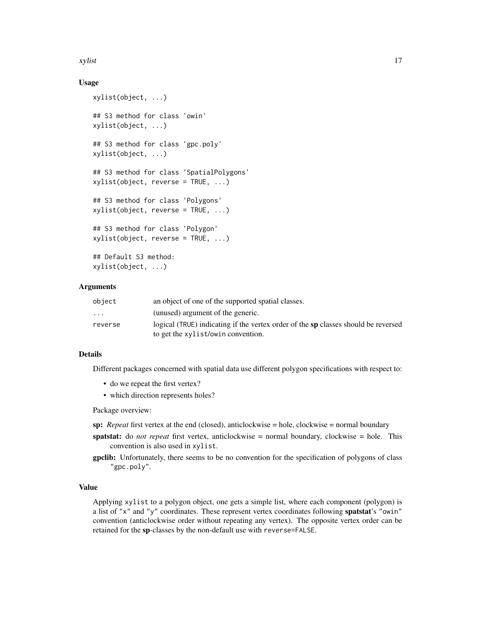#### xylist 17

# Usage

```
xylist(object, ...)
## S3 method for class 'owin'
xylist(object, ...)
## S3 method for class 'gpc.poly'
xylist(object, ...)
## S3 method for class 'SpatialPolygons'
xylist(object, reverse = TRUE, ...)
## S3 method for class 'Polygons'
xylist(object, reverse = TRUE, ...)
## S3 method for class 'Polygon'
xylist(object, reverse = TRUE, ...)
## Default S3 method:
xylist(object, ...)
```
#### Arguments

| object                  | an object of one of the supported spatial classes.                                 |
|-------------------------|------------------------------------------------------------------------------------|
| $\cdot$ $\cdot$ $\cdot$ | (unused) argument of the generic.                                                  |
| reverse                 | logical (TRUE) indicating if the vertex order of the sp classes should be reversed |
|                         | to get the xylist/owin convention.                                                 |

# Details

Different packages concerned with spatial data use different polygon specifications with respect to:

- do we repeat the first vertex?
- which direction represents holes?

Package overview:

sp: *Repeat* first vertex at the end (closed), anticlockwise = hole, clockwise = normal boundary

- spatstat: do *not repeat* first vertex, anticlockwise = normal boundary, clockwise = hole. This convention is also used in xylist.
- gpclib: Unfortunately, there seems to be no convention for the specification of polygons of class "gpc.poly".

#### Value

Applying xylist to a polygon object, one gets a simple list, where each component (polygon) is a list of "x" and "y" coordinates. These represent vertex coordinates following **spatstat's** "owin" convention (anticlockwise order without repeating any vertex). The opposite vertex order can be retained for the sp-classes by the non-default use with reverse=FALSE.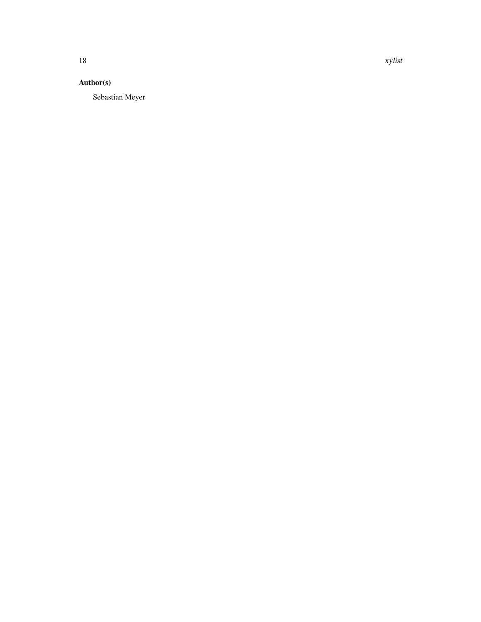# Author(s)

Sebastian Meyer